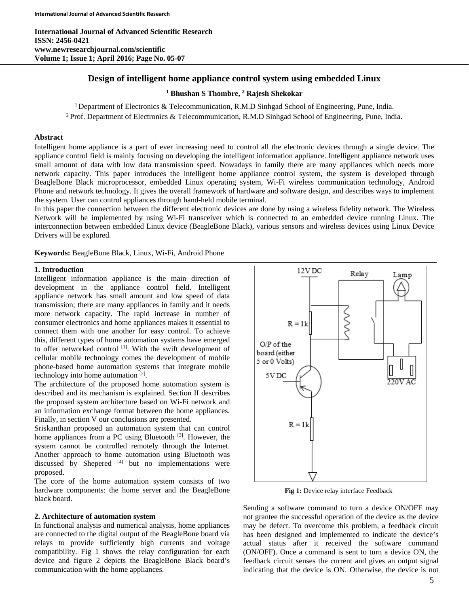**International Journal of Advanced Scientific Research ISSN: 2456-0421 www.newresearchjournal.com/scientific Volume 1; Issue 1; April 2016; Page No. 05-07** 

# **Design of intelligent home appliance control system using embedded Linux**

**1 Bhushan S Thombre, 2 Rajesh Shekokar** 

<sup>1</sup> Department of Electronics & Telecommunication, R.M.D Sinhgad School of Engineering, Pune, India. <sup>2</sup> Prof. Department of Electronics & Telecommunication, R.M.D Sinhgad School of Engineering, Pune, India.

## **Abstract**

Intelligent home appliance is a part of ever increasing need to control all the electronic devices through a single device. The appliance control field is mainly focusing on developing the intelligent information appliance. Intelligent appliance network uses small amount of data with low data transmission speed. Nowadays in family there are many appliances which needs more network capacity. This paper introduces the intelligent home appliance control system, the system is developed through BeagleBone Black microprocessor, embedded Linux operating system, Wi-Fi wireless communication technology, Android Phone and network technology. It gives the overall framework of hardware and software design, and describes ways to implement the system. User can control appliances through hand-held mobile terminal.

In this paper the connection between the different electronic devices are done by using a wireless fidelity network. The Wireless Network will be implemented by using Wi-Fi transceiver which is connected to an embedded device running Linux. The interconnection between embedded Linux device (BeagleBone Black), various sensors and wireless devices using Linux Device Drivers will be explored.

**Keywords:** BeagleBone Black, Linux, Wi-Fi, Android Phone

### **1. Introduction**

Intelligent information appliance is the main direction of development in the appliance control field. Intelligent appliance network has small amount and low speed of data transmission; there are many appliances in family and it needs more network capacity. The rapid increase in number of consumer electronics and home appliances makes it essential to connect them with one another for easy control. To achieve this, different types of home automation systems have emerged to offer networked control [1]. With the swift development of cellular mobile technology comes the development of mobile phone-based home automation systems that integrate mobile technology into home automation [2].

The architecture of the proposed home automation system is described and its mechanism is explained. Section II describes the proposed system architecture based on Wi-Fi network and an information exchange format between the home appliances. Finally, in section V our conclusions are presented.

Sriskanthan proposed an automation system that can control home appliances from a PC using Bluetooth  $[3]$ . However, the system cannot be controlled remotely through the Internet. Another approach to home automation using Bluetooth was discussed by Shepered  $[4]$  but no implementations were proposed.

The core of the home automation system consists of two hardware components: the home server and the BeagleBone black board.

### **2. Architecture of automation system**

In functional analysis and numerical analysis, home appliances are connected to the digital output of the BeagleBone board via relays to provide sufficiently high currents and voltage compatibility. Fig 1 shows the relay configuration for each device and figure 2 depicts the BeagleBone Black board's communication with the home appliances.



**Fig 1:** Device relay interface Feedback

Sending a software command to turn a device ON/OFF may not grantee the successful operation of the device as the device may be defect. To overcome this problem, a feedback circuit has been designed and implemented to indicate the device's actual status after it received the software command (ON/OFF). Once a command is sent to turn a device ON, the feedback circuit senses the current and gives an output signal indicating that the device is ON. Otherwise, the device is not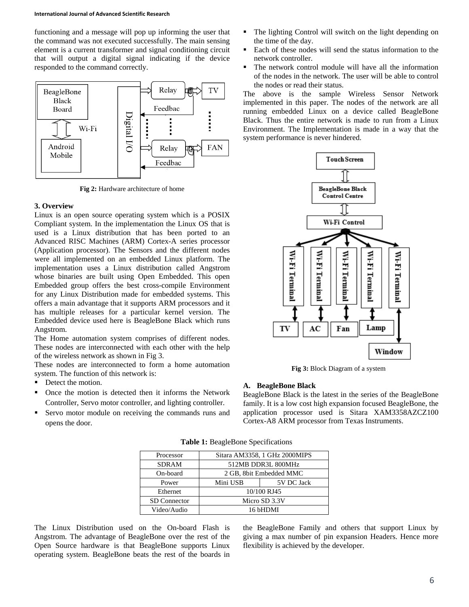#### **International Journal of Advanced Scientific Research**

functioning and a message will pop up informing the user that the command was not executed successfully. The main sensing element is a current transformer and signal conditioning circuit that will output a digital signal indicating if the device responded to the command correctly.



**Fig 2:** Hardware architecture of home

### **3. Overview**

Linux is an open source operating system which is a POSIX Compliant system. In the implementation the Linux OS that is used is a Linux distribution that has been ported to an Advanced RISC Machines (ARM) Cortex-A series processor (Application processor). The Sensors and the different nodes were all implemented on an embedded Linux platform. The implementation uses a Linux distribution called Angstrom whose binaries are built using Open Embedded. This open Embedded group offers the best cross-compile Environment for any Linux Distribution made for embedded systems. This offers a main advantage that it supports ARM processors and it has multiple releases for a particular kernel version. The Embedded device used here is BeagleBone Black which runs Angstrom.

The Home automation system comprises of different nodes. These nodes are interconnected with each other with the help of the wireless network as shown in Fig 3.

These nodes are interconnected to form a home automation system. The function of this network is:

- Detect the motion.
- Once the motion is detected then it informs the Network Controller, Servo motor controller, and lighting controller.
- Servo motor module on receiving the commands runs and opens the door.
- The lighting Control will switch on the light depending on the time of the day.
- Each of these nodes will send the status information to the network controller.
- The network control module will have all the information of the nodes in the network. The user will be able to control the nodes or read their status.

The above is the sample Wireless Sensor Network implemented in this paper. The nodes of the network are all running embedded Linux on a device called BeagleBone Black. Thus the entire network is made to run from a Linux Environment. The Implementation is made in a way that the system performance is never hindered.



**Fig 3:** Block Diagram of a system

#### **A. BeagleBone Black**

BeagleBone Black is the latest in the series of the BeagleBone family. It is a low cost high expansion focused BeagleBone, the application processor used is Sitara XAM3358AZCZ100 Cortex-A8 ARM processor from Texas Instruments.

| Processor           | Sitara AM3358, 1 GHz 2000MIPS |            |
|---------------------|-------------------------------|------------|
| <b>SDRAM</b>        | 512MB DDR3L 800MHz            |            |
| On-board            | 2 GB, 8bit Embedded MMC       |            |
| Power               | Mini USB                      | 5V DC Jack |
| Ethernet            | 10/100 RJ45                   |            |
| <b>SD</b> Connector | Micro SD 3.3V                 |            |
| Video/Audio         | 16 bHDMI                      |            |

**Table 1:** BeagleBone Specifications

The Linux Distribution used on the On-board Flash is Angstrom. The advantage of BeagleBone over the rest of the Open Source hardware is that BeagleBone supports Linux operating system. BeagleBone beats the rest of the boards in

the BeagleBone Family and others that support Linux by giving a max number of pin expansion Headers. Hence more flexibility is achieved by the developer.